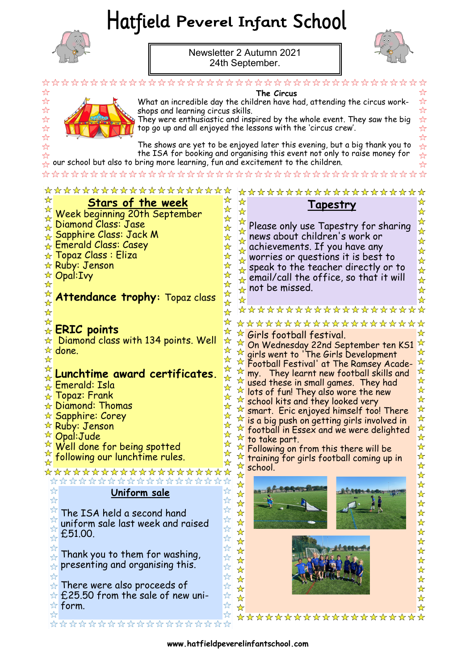# Hatfield Peverel Infant School



☆

\*  $\overrightarrow{\mathbf{r}}$  $\overrightarrow{\mathcal{L}}$  $\overleftrightarrow{\mathbf{r}}$ 

> $\frac{1}{2}$  $\overleftrightarrow{\mathbf{r}}$

Newsletter 2 Autumn 2021 24th September.



 $\overline{\mathcal{U}}$  $\overline{\mathcal{U}}$ 

☆

\*\*\*



\*\*\*\*

 $\stackrel{\wedge}{\alpha}$   $\stackrel{\wedge}{\alpha}$ 

**The Circus** What an incredible day the children have had, attending the circus workshops and learning circus skills. They were enthusiastic and inspired by the whole event. They saw the big top go up and all enjoyed the lessons with the 'circus crew'.

The shows are yet to be enjoyed later this evening, but a big thank you to the ISA for booking and organising this event not only to raise money for our school but also to bring more learning, fun and excitement to the children.

\*\*\*\*\*\*\*\*\*\*